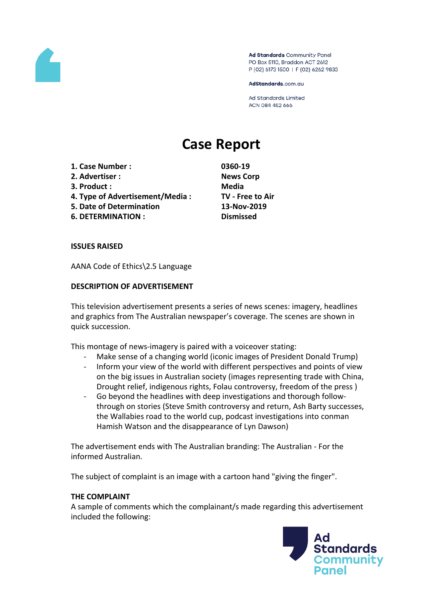

Ad Standards Community Panel PO Box 5110, Braddon ACT 2612 P (02) 6173 1500 | F (02) 6262 9833

AdStandards.com.au

**Ad Standards Limited** ACN 084 452 666

# **Case Report**

- **1. Case Number : 0360-19**
- **2. Advertiser : News Corp**
- **3. Product : Media**
- **4. Type of Advertisement/Media : TV - Free to Air**
- **5. Date of Determination 13-Nov-2019**
- **6. DETERMINATION : Dismissed**

#### **ISSUES RAISED**

AANA Code of Ethics\2.5 Language

#### **DESCRIPTION OF ADVERTISEMENT**

This television advertisement presents a series of news scenes: imagery, headlines and graphics from The Australian newspaper's coverage. The scenes are shown in quick succession.

This montage of news-imagery is paired with a voiceover stating:

- Make sense of a changing world (iconic images of President Donald Trump)
- Inform your view of the world with different perspectives and points of view on the big issues in Australian society (images representing trade with China, Drought relief, indigenous rights, Folau controversy, freedom of the press )
- Go beyond the headlines with deep investigations and thorough followthrough on stories (Steve Smith controversy and return, Ash Barty successes, the Wallabies road to the world cup, podcast investigations into conman Hamish Watson and the disappearance of Lyn Dawson)

The advertisement ends with The Australian branding: The Australian - For the informed Australian.

The subject of complaint is an image with a cartoon hand "giving the finger".

## **THE COMPLAINT**

A sample of comments which the complainant/s made regarding this advertisement included the following:

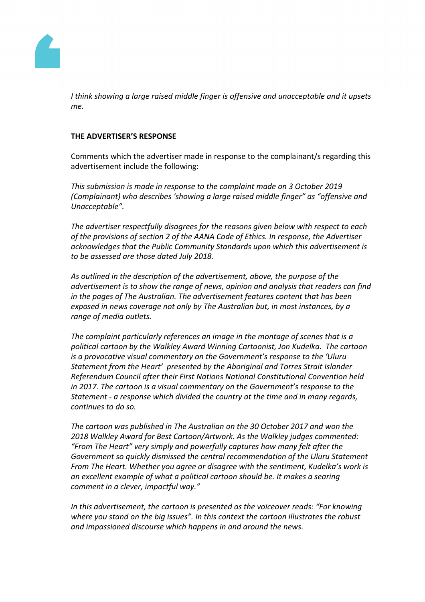

*I think showing a large raised middle finger is offensive and unacceptable and it upsets me.*

## **THE ADVERTISER'S RESPONSE**

Comments which the advertiser made in response to the complainant/s regarding this advertisement include the following:

*This submission is made in response to the complaint made on 3 October 2019 (Complainant) who describes 'showing a large raised middle finger" as "offensive and Unacceptable".*

*The advertiser respectfully disagrees for the reasons given below with respect to each of the provisions of section 2 of the AANA Code of Ethics. In response, the Advertiser acknowledges that the Public Community Standards upon which this advertisement is to be assessed are those dated July 2018.*

*As outlined in the description of the advertisement, above, the purpose of the advertisement is to show the range of news, opinion and analysis that readers can find in the pages of The Australian. The advertisement features content that has been exposed in news coverage not only by The Australian but, in most instances, by a range of media outlets.*

*The complaint particularly references an image in the montage of scenes that is a political cartoon by the Walkley Award Winning Cartoonist, Jon Kudelka. The cartoon is a provocative visual commentary on the Government's response to the 'Uluru Statement from the Heart' presented by the Aboriginal and Torres Strait Islander Referendum Council after their First Nations National Constitutional Convention held in 2017. The cartoon is a visual commentary on the Government's response to the Statement - a response which divided the country at the time and in many regards, continues to do so.*

*The cartoon was published in The Australian on the 30 October 2017 and won the 2018 Walkley Award for Best Cartoon/Artwork. As the Walkley judges commented: "From The Heart" very simply and powerfully captures how many felt after the Government so quickly dismissed the central recommendation of the Uluru Statement From The Heart. Whether you agree or disagree with the sentiment, Kudelka's work is an excellent example of what a political cartoon should be. It makes a searing comment in a clever, impactful way."* 

*In this advertisement, the cartoon is presented as the voiceover reads: "For knowing where you stand on the big issues". In this context the cartoon illustrates the robust and impassioned discourse which happens in and around the news.*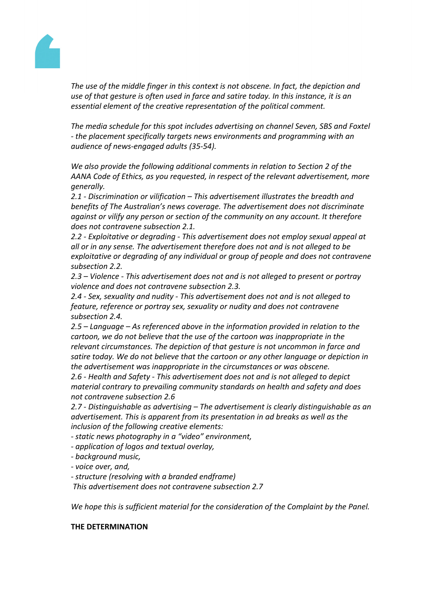

*The use of the middle finger in this context is not obscene. In fact, the depiction and use of that gesture is often used in farce and satire today. In this instance, it is an essential element of the creative representation of the political comment.*

*The media schedule for this spot includes advertising on channel Seven, SBS and Foxtel - the placement specifically targets news environments and programming with an audience of news-engaged adults (35-54).*

*We also provide the following additional comments in relation to Section 2 of the AANA Code of Ethics, as you requested, in respect of the relevant advertisement, more generally.*

*2.1 - Discrimination or vilification – This advertisement illustrates the breadth and benefits of The Australian's news coverage. The advertisement does not discriminate against or vilify any person or section of the community on any account. It therefore does not contravene subsection 2.1.*

*2.2 - Exploitative or degrading - This advertisement does not employ sexual appeal at all or in any sense. The advertisement therefore does not and is not alleged to be exploitative or degrading of any individual or group of people and does not contravene subsection 2.2.*

*2.3 – Violence - This advertisement does not and is not alleged to present or portray violence and does not contravene subsection 2.3.*

*2.4 - Sex, sexuality and nudity - This advertisement does not and is not alleged to feature, reference or portray sex, sexuality or nudity and does not contravene subsection 2.4.*

*2.5 – Language – As referenced above in the information provided in relation to the cartoon, we do not believe that the use of the cartoon was inappropriate in the relevant circumstances. The depiction of that gesture is not uncommon in farce and satire today. We do not believe that the cartoon or any other language or depiction in the advertisement was inappropriate in the circumstances or was obscene.*

*2.6 - Health and Safety - This advertisement does not and is not alleged to depict material contrary to prevailing community standards on health and safety and does not contravene subsection 2.6*

*2.7 - Distinguishable as advertising – The advertisement is clearly distinguishable as an advertisement. This is apparent from its presentation in ad breaks as well as the inclusion of the following creative elements:*

- *- static news photography in a "video" environment,*
- *- application of logos and textual overlay,*

*- background music,*

*- voice over, and,*

*- structure (resolving with a branded endframe)*

*This advertisement does not contravene subsection 2.7*

*We hope this is sufficient material for the consideration of the Complaint by the Panel.*

## **THE DETERMINATION**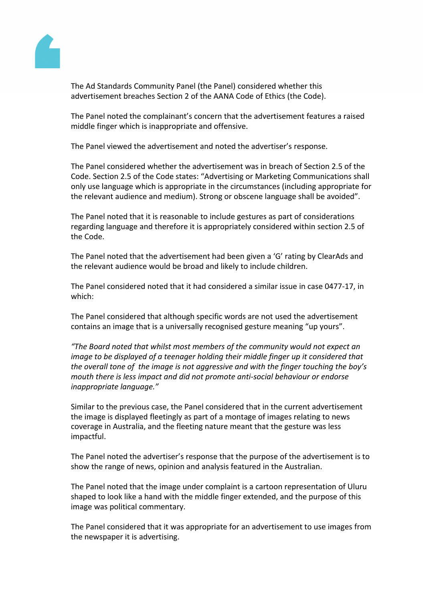

The Ad Standards Community Panel (the Panel) considered whether this advertisement breaches Section 2 of the AANA Code of Ethics (the Code).

The Panel noted the complainant's concern that the advertisement features a raised middle finger which is inappropriate and offensive.

The Panel viewed the advertisement and noted the advertiser's response.

The Panel considered whether the advertisement was in breach of Section 2.5 of the Code. Section 2.5 of the Code states: "Advertising or Marketing Communications shall only use language which is appropriate in the circumstances (including appropriate for the relevant audience and medium). Strong or obscene language shall be avoided".

The Panel noted that it is reasonable to include gestures as part of considerations regarding language and therefore it is appropriately considered within section 2.5 of the Code.

The Panel noted that the advertisement had been given a 'G' rating by ClearAds and the relevant audience would be broad and likely to include children.

The Panel considered noted that it had considered a similar issue in case 0477-17, in which:

The Panel considered that although specific words are not used the advertisement contains an image that is a universally recognised gesture meaning "up yours".

*"The Board noted that whilst most members of the community would not expect an image to be displayed of a teenager holding their middle finger up it considered that the overall tone of the image is not aggressive and with the finger touching the boy's mouth there is less impact and did not promote anti-social behaviour or endorse inappropriate language."*

Similar to the previous case, the Panel considered that in the current advertisement the image is displayed fleetingly as part of a montage of images relating to news coverage in Australia, and the fleeting nature meant that the gesture was less impactful.

The Panel noted the advertiser's response that the purpose of the advertisement is to show the range of news, opinion and analysis featured in the Australian.

The Panel noted that the image under complaint is a cartoon representation of Uluru shaped to look like a hand with the middle finger extended, and the purpose of this image was political commentary.

The Panel considered that it was appropriate for an advertisement to use images from the newspaper it is advertising.